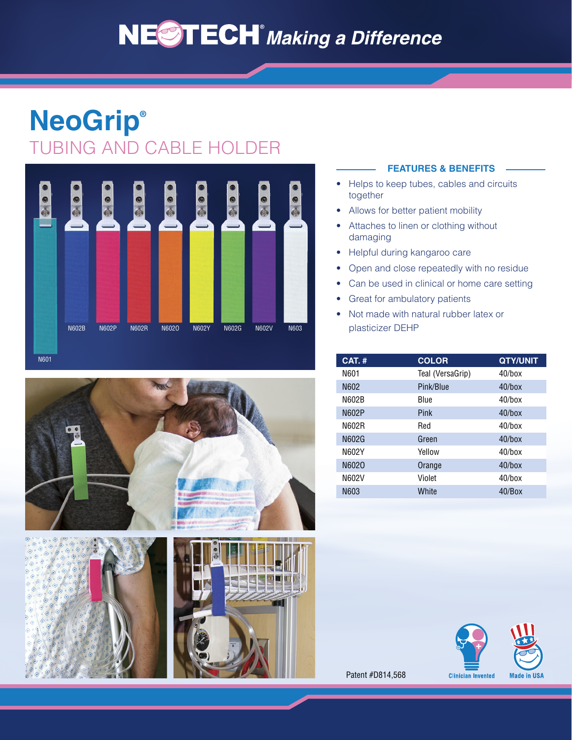# **NESTECH** Making a Difference

## **NeoGrip®** TUBING AND CABLE HOLDER







#### **FEATURES & BENEFITS**

- Helps to keep tubes, cables and circuits together
- Allows for better patient mobility
- Attaches to linen or clothing without damaging
- Helpful during kangaroo care
- Open and close repeatedly with no residue
- Can be used in clinical or home care setting
- Great for ambulatory patients
- Not made with natural rubber latex or plasticizer DEHP

| <b>CAT.#</b> | <b>COLOR</b>     | <b>QTY/UNIT</b> |
|--------------|------------------|-----------------|
| N601         | Teal (VersaGrip) | $40$ /box       |
| N602         | Pink/Blue        | $40$ /box       |
| N602B        | <b>Blue</b>      | $40$ /box       |
| N602P        | Pink             | $40$ /box       |
| N602R        | Red              | $40/h$ ox       |
| N602G        | Green            | $40$ /box       |
| N602Y        | Yellow           | $40$ /box       |
| N6020        | Orange           | $40$ /box       |
| N602V        | Violet           | $40$ /box       |
| N603         | White            | $40$ /Box       |



Patent #D814,568